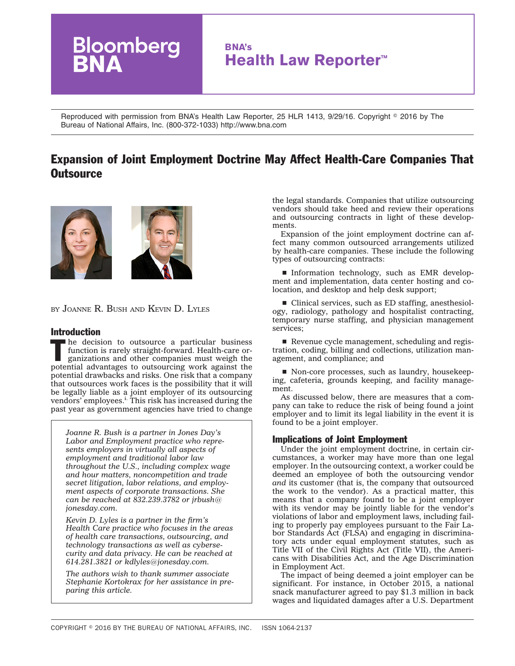

Reproduced with permission from BNA's Health Law Reporter, 25 HLR 1413, 9/29/16. Copyright © 2016 by The Bureau of National Affairs, Inc. (800-372-1033) http://www.bna.com

# Expansion of Joint Employment Doctrine May Affect Health-Care Companies That **Outsource**



BY JOANNE R. BUSH AND KEVIN D. LYLES

### Introduction

 $\blacksquare$  he decision to outsource a particular business function is rarely straight-forward. Health-care organizations and other companies must weigh the potential advantages to outsourcing work against the potential drawbacks and risks. One risk that a company that outsources work faces is the possibility that it will be legally liable as a joint employer of its outsourcing vendors' employees.<sup>i.</sup> This risk has increased during the past year as government agencies have tried to change

*[Joanne R. Bush](http://www.jonesday.com/jrbush/) is a partner in Jones Day's Labor and Employment practice who represents employers in virtually all aspects of employment and traditional labor law throughout the U.S., including complex wage and hour matters, noncompetition and trade secret litigation, labor relations, and employment aspects of corporate transactions. She can be reached at 832.239.3782 or [jrbush@](mailto:jrbush@jonesday.com) [jonesday.com.](mailto:jrbush@jonesday.com)*

*[Kevin D. Lyles](http://www.jonesday.com/kdlyles/) is a partner in the firm's Health Care practice who focuses in the areas of health care transactions, outsourcing, and technology transactions as well as cybersecurity and data privacy. He can be reached at 614.281.3821 or [kdlyles@jonesday.com.](mailto:kdlyles@jonesday.com)*

*The authors wish to thank summer associate Stephanie Kortokrax for her assistance in preparing this article.*

the legal standards. Companies that utilize outsourcing vendors should take heed and review their operations and outsourcing contracts in light of these developments.

Expansion of the joint employment doctrine can affect many common outsourced arrangements utilized by health-care companies. These include the following types of outsourcing contracts:

**Information technology, such as EMR develop**ment and implementation, data center hosting and colocation, and desktop and help desk support;

 $\blacksquare$  Clinical services, such as ED staffing, anesthesiology, radiology, pathology and hospitalist contracting, temporary nurse staffing, and physician management services;

 $\blacksquare$  Revenue cycle management, scheduling and registration, coding, billing and collections, utilization management, and compliance; and

■ Non-core processes, such as laundry, housekeeping, cafeteria, grounds keeping, and facility management.

As discussed below, there are measures that a company can take to reduce the risk of being found a joint employer and to limit its legal liability in the event it is found to be a joint employer.

# Implications of Joint Employment

Under the joint employment doctrine, in certain circumstances, a worker may have more than one legal employer. In the outsourcing context, a worker could be deemed an employee of both the outsourcing vendor *and* its customer (that is, the company that outsourced the work to the vendor). As a practical matter, this means that a company found to be a joint employer with its vendor may be jointly liable for the vendor's violations of labor and employment laws, including failing to properly pay employees pursuant to the Fair Labor Standards Act (FLSA) and engaging in discriminatory acts under equal employment statutes, such as Title VII of the Civil Rights Act (Title VII), the Americans with Disabilities Act, and the Age Discrimination in Employment Act.

The impact of being deemed a joint employer can be significant. For instance, in October 2015, a [national](https://www.dol.gov/opa/media/press/whd/WHD20151976.htm) [snack manufacturer agreed](https://www.dol.gov/opa/media/press/whd/WHD20151976.htm) to pay \$1.3 million in back wages and liquidated damages after a U.S. Department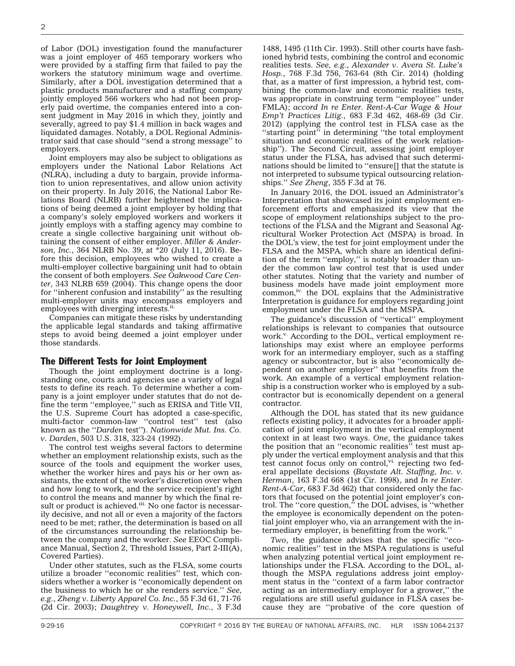of Labor (DOL) investigation found the manufacturer was a joint employer of 465 temporary workers who were provided by a staffing firm that failed to pay the workers the statutory minimum wage and overtime. Similarly, after a DOL investigation determined that a plastic products manufacturer and a staffing company jointly employed 566 workers who had not been properly paid overtime, the companies entered into a consent judgment in May 2016 in which they, jointly and severally, [agreed](https://www.dol.gov/newsroom/releases/whd/whd20160712) to pay \$1.4 million in back wages and liquidated damages. Notably, a [DOL Regional Adminis](https://www.dol.gov/newsroom/releases/whd/whd20160712)[trator said](https://www.dol.gov/newsroom/releases/whd/whd20160712) that case should ''send a strong message'' to employers.

Joint employers may also be subject to obligations as employers under the National Labor Relations Act (NLRA), including a duty to bargain, provide information to union representatives, and allow union activity on their property. In July 2016, the National Labor Relations Board (NLRB) further heightened the implications of being deemed a joint employer by holding that a company's solely employed workers and workers it jointly employs with a staffing agency may combine to create a single collective bargaining unit without obtaining the consent of either employer. *Miller & Anderson, Inc.*, [364 NLRB No. 39, at \\*20](https://www.bloomberglaw.com/document/X9N2VF9C?jcsearch=364%20NLRB%20No.%2039%5cjcite) (July 11, 2016). Before this decision, employees who wished to create a multi-employer collective bargaining unit had to obtain the consent of both employers. *See Oakwood Care Center*, [343 NLRB 659](https://www.bloomberglaw.com/document/X194C7QNB5G0?jcsearch=343%20NLRB%20659%20%5cjcite) (2004). This change opens the door for ''inherent confusion and instability'' as the resulting multi-employer units may encompass employers and employees with diverging interests.<sup>ii.</sup>

Companies can mitigate these risks by understanding the applicable legal standards and taking affirmative steps to avoid being deemed a joint employer under those standards.

#### The Different Tests for Joint Employment

Though the joint employment doctrine is a longstanding one, courts and agencies use a variety of legal tests to define its reach. To determine whether a company is a joint employer under statutes that do not define the term "employee," such as ERISA and Title VII, the U.S. Supreme Court has adopted a case-specific, multi-factor common-law ''control test'' test (also known as the ''*Darden* test''). *Nationwide Mut. Ins. Co. v. Darden*, [503 U.S. 318, 323-24](https://www.bloomberglaw.com/document/X5CC50?jcsearch=503%20U.S.%20318%5cjcite) (1992).

The control test weighs several factors to determine whether an employment relationship exists, such as the source of the tools and equipment the worker uses, whether the worker hires and pays his or her own assistants, the extent of the worker's discretion over when and how long to work, and the service recipient's right to control the means and manner by which the final result or product is achieved.<sup>iii.</sup> No one factor is necessarily decisive, and not all or even a majority of the factors need to be met; rather, the determination is based on all of the circumstances surrounding the relationship between the company and the worker. *See* [EEOC Compli](https://www.eeoc.gov/policy/docs/threshold.html)[ance Manual, Section 2, Threshold Issues, Part 2-III\(A\),](https://www.eeoc.gov/policy/docs/threshold.html) [Covered Parties\)](https://www.eeoc.gov/policy/docs/threshold.html).

Under other statutes, such as the FLSA, some courts utilize a broader ''economic realities'' test, which considers whether a worker is ''economically dependent on the business to which he or she renders service.'' *See, e.g.*, *Zheng v. Liberty Apparel Co. Inc.*, [55 F.3d 61, 71-76](https://www.bloomberglaw.com/document/X6B7QA?jcsearch=355%20F.3d%2061%5cjcite) (2d Cir. 2003); *Daughtrey v. Honeywell, Inc.*, [3 F.3d](https://www.bloomberglaw.com/document/X3MS7K?jcsearch=3%20F.3d%201488%5cjcite)

[1488, 1495](https://www.bloomberglaw.com/document/X3MS7K?jcsearch=3%20F.3d%201488%5cjcite) (11th Cir. 1993). Still other courts have fashioned hybrid tests, combining the control and economic realities tests. *See, e.g.*, *Alexander v. Avera St. Luke's Hosp.*, [768 F.3d 756, 763-64](https://www.bloomberglaw.com/document/X1MD67U003?jcsearch=768%20F.3d%20756%5cjcite) (8th Cir. 2014) (holding that, as a matter of first impression, a hybrid test, combining the common-law and economic realities tests, was appropriate in construing term ''employee'' under FMLA); *accord In re Enter. Rent-A-Car Wage & Hour Emp't Practices Litig.*, [683 F.3d 462, 468-69](https://www.bloomberglaw.com/document/X1BTOQ0N?jcsearch=683%2520F.3d%2520462%5cjcite) (3d Cir. 2012) (applying the control test in FLSA case as the "starting point" in determining "the total employment situation and economic realities of the work relationship''). The Second Circuit, assessing joint employer status under the FLSA, has advised that such determinations should be limited to ''ensure[] that the statute is not interpreted to subsume typical outsourcing relationships.'' *See Zheng*, [355 F.3d at 76.](https://www.bloomberglaw.com/document/X6B7QA?jcsearch=355%2520F.3d%2520at%252076%5cjcite)

In January 2016, the DOL issued an [Administrator's](https://www.dol.gov/whd/flsa/Joint_Employment_AI.htm) [Interpretation](https://www.dol.gov/whd/flsa/Joint_Employment_AI.htm) that showcased its joint employment enforcement efforts and emphasized its view that the scope of employment relationships subject to the protections of the FLSA and the Migrant and Seasonal Agricultural Worker Protection Act (MSPA) is broad. In the DOL's view, the test for joint employment under the FLSA and the MSPA, which share an identical definition of the term ''employ,'' is notably broader than under the common law control test that is used under other statutes. Noting that the variety and number of business models have made joint employment more  $common$ ,<sup>iv.</sup> the DOL explains that the Administrative Interpretation is guidance for employers regarding joint employment under the FLSA and the MSPA.

The [guidance's](https://www.dol.gov/whd/flsa/Joint_Employment_AI.htm) discussion of ''vertical'' employment relationships is relevant to companies that outsource work.<sup>v.</sup> According to the DOL, vertical employment relationships may exist where an employee performs work for an intermediary employer, such as a staffing agency or subcontractor, but is also ''economically dependent on another employer'' that benefits from the work. An example of a vertical employment relationship is a construction worker who is employed by a subcontractor but is economically dependent on a general contractor.

Although the DOL has [stated](https://blog.dol.gov/2016/01/20/are-you-a-joint-employer/) that its new guidance reflects existing policy, it advocates for a broader application of joint employment in the vertical employment context in at least two ways. *One*, the guidance takes the position that an "economic realities" test must apply under the vertical employment analysis and that this test cannot focus only on control, $\mathbf{v}$  rejecting two federal appellate decisions (*Baystate Alt. Staffing, Inc. v. Herman*, [163 F.3d 668](https://www.bloomberglaw.com/document/X40TMJ?jcsearch=163%2520F.3d%2520668%2520%5cjcite) (1st Cir. 1998), and *In re Enter. Rent-A-Car*, [683 F.3d 462\)](https://www.bloomberglaw.com/document/X1BTOQ0N?jcsearch=683%2520F.3d%2520462%5cjcite) that considered only the factors that focused on the potential joint employer's control. The ''core question,'' the DOL advises, is ''whether the employee is economically dependent on the potential joint employer who, via an arrangement with the intermediary employer, is benefitting from the work.''

*Two*, the guidance advises that the specific ''economic realities'' test in the [MSPA regulations](https://www.bloomberglaw.com/document/XMP3FU003?jcsearch=29%2520C.F.R.%2520500.20%2528h%2529%5cjcite) is useful when analyzing potential vertical joint employment relationships under the FLSA. According to the DOL, although the MSPA regulations address joint employment status in the ''context of a farm labor contractor acting as an intermediary employer for a grower,'' the regulations are still useful guidance in FLSA cases because they are ''probative of the core question of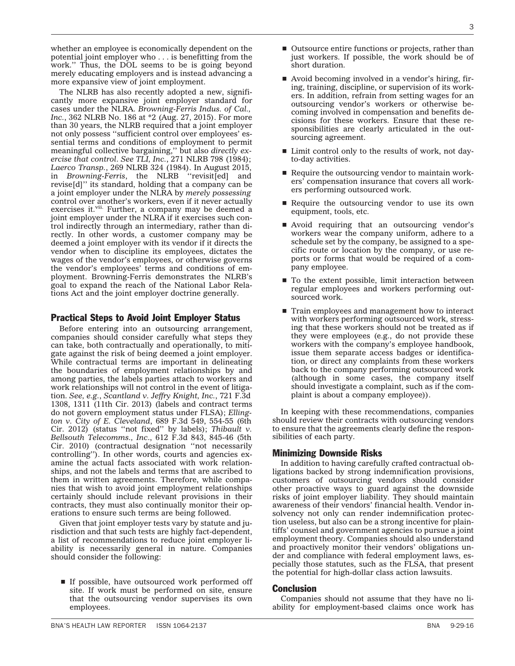whether an employee is economically dependent on the potential joint employer who . . . is benefitting from the work.'' Thus, the DOL seems to be is going beyond merely educating employers and is instead advancing a more expansive view of joint employment.

The NLRB has also recently adopted a new, significantly more expansive joint employer standard for cases under the NLRA. *Browning-Ferris Indus. of Cal., Inc.*, [362 NLRB No. 186 at \\*2](https://www.bloomberglaw.com/document/X4S0L7PC?jcsearch=362%2520NLRB%2520No.%2520186%2520%5cjcite) (Aug. 27, 2015). For more than 30 years, the NLRB required that a joint employer not only possess ''sufficient control over employees' essential terms and conditions of employment to permit meaningful collective bargaining,'' but also *directly exercise that control*. *See TLI, Inc.*, [271 NLRB 798](https://www.bloomberglaw.com/document/X1P8ABG5GVG0?jcsearch=271%2520NLRB%2520798%5cjcite) (1984); *Laerco Transp.*, [269 NLRB 324](https://www.bloomberglaw.com/document/X1SP13G5GVG0?jcsearch=269%2520NLRB%2520324%2520%5cjcite) (1984). In August 2015, in *[Browning-Ferris](https://www.bloomberglaw.com/document/X4S0L7PC?jcsearch=362%20NLRB%20No.%20186%20%5cjcite)*, the NLRB ''revisit[ed] and revise[d]'' its standard, holding that a company can be a joint employer under the NLRA by *merely possessing* control over another's workers, even if it never actually exercises it.<sup>vii.</sup> Further, a company may be deemed a joint employer under the NLRA if it exercises such control indirectly through an intermediary, rather than directly. In other words, a customer company may be deemed a joint employer with its vendor if it directs the vendor when to discipline its employees, dictates the wages of the vendor's employees, or otherwise governs the vendor's employees' terms and conditions of employment. [Browning-Ferris](https://www.bloomberglaw.com/document/X4S0L7PC?jcsearch=362%20NLRB%20No.%20186%20%5cjcite) demonstrates the NLRB's goal to expand the reach of the National Labor Relations Act and the joint employer doctrine generally.

# Practical Steps to Avoid Joint Employer Status

Before entering into an outsourcing arrangement, companies should consider carefully what steps they can take, both contractually and operationally, to mitigate against the risk of being deemed a joint employer. While contractual terms are important in delineating the boundaries of employment relationships by and among parties, the labels parties attach to workers and work relationships will not control in the event of litigation. *See, e.g.*, *Scantland v. Jeffry Knight, Inc.*, [721 F.3d](https://www.bloomberglaw.com/document/X1OM10GN?jcsearch=721%2520F.3d%25201308%5cjcite) [1308, 1311](https://www.bloomberglaw.com/document/X1OM10GN?jcsearch=721%2520F.3d%25201308%5cjcite) (11th Cir. 2013) (labels and contract terms do not govern employment status under FLSA); *Ellington v. City of E. Cleveland*, [689 F.3d 549, 554-55](https://www.bloomberglaw.com/document/X1I2O0C003?jcsearch=689%2520F.3d%2520549%5cjcite) (6th Cir. 2012) (status ''not fixed'' by labels); *Thibault v. Bellsouth Telecomms., Inc*., [612 F.3d 843, 845-46](https://www.bloomberglaw.com/document/X1DN5RS003?jcsearch=612%2520F.3d%2520843%5cjcite) (5th Cir. 2010) (contractual designation ''not necessarily controlling''). In other words, courts and agencies examine the actual facts associated with work relationships, and not the labels and terms that are ascribed to them in written agreements. Therefore, while companies that wish to avoid joint employment relationships certainly should include relevant provisions in their contracts, they must also continually monitor their operations to ensure such terms are being followed.

Given that joint employer tests vary by statute and jurisdiction and that such tests are highly fact-dependent, a list of recommendations to reduce joint employer liability is necessarily general in nature. Companies should consider the following:

 $\blacksquare$  If possible, have outsourced work performed off site. If work must be performed on site, ensure that the outsourcing vendor supervises its own employees.

- $\blacksquare$  Outsource entire functions or projects, rather than just workers. If possible, the work should be of short duration.
- $\blacksquare$  Avoid becoming involved in a vendor's hiring, firing, training, discipline, or supervision of its workers. In addition, refrain from setting wages for an outsourcing vendor's workers or otherwise becoming involved in compensation and benefits decisions for these workers. Ensure that these responsibilities are clearly articulated in the outsourcing agreement.
- Limit control only to the results of work, not dayto-day activities.
- $\blacksquare$  Require the outsourcing vendor to maintain workers' compensation insurance that covers all workers performing outsourced work.
- $\blacksquare$  Require the outsourcing vendor to use its own equipment, tools, etc.
- **E** Avoid requiring that an outsourcing vendor's workers wear the company uniform, adhere to a schedule set by the company, be assigned to a specific route or location by the company, or use reports or forms that would be required of a company employee.
- $\blacksquare$  To the extent possible, limit interaction between regular employees and workers performing outsourced work.
- $\blacksquare$  Train employees and management how to interact with workers performing outsourced work, stressing that these workers should not be treated as if they were employees (e.g., do not provide these workers with the company's employee handbook, issue them separate access badges or identification, or direct any complaints from these workers back to the company performing outsourced work (although in some cases, the company itself should investigate a complaint, such as if the complaint is about a company employee)).

In keeping with these recommendations, companies should review their contracts with outsourcing vendors to ensure that the agreements clearly define the responsibilities of each party.

# Minimizing Downside Risks

In addition to having carefully crafted contractual obligations backed by strong indemnification provisions, customers of outsourcing vendors should consider other proactive ways to guard against the downside risks of joint employer liability. They should maintain awareness of their vendors' financial health. Vendor insolvency not only can render indemnification protection useless, but also can be a strong incentive for plaintiffs' counsel and government agencies to pursue a joint employment theory. Companies should also understand and proactively monitor their vendors' obligations under and compliance with federal employment laws, especially those statutes, such as the FLSA, that present the potential for high-dollar class action lawsuits.

# Conclusion

Companies should not assume that they have no liability for employment-based claims once work has